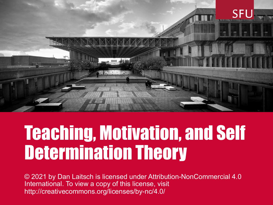

### Teaching, Motivation, and Self Determination Theory

© 2021 by Dan Laitsch is licensed under Attribution-NonCommercial 4.0 International. To view a copy of this license, visit http://creativecommons.org/licenses/by-nc/4.0/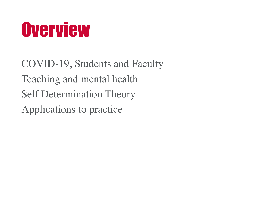### **Overview**

COVID-19, Students and Faculty Teaching and mental health Self Determination Theory Applications to practice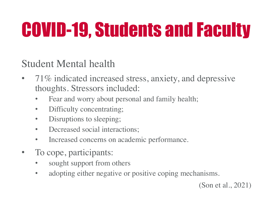Student Mental health

- 71% indicated increased stress, anxiety, and depressive thoughts. Stressors included:
	- Fear and worry about personal and family health;
	- Difficulty concentrating;
	- Disruptions to sleeping;
	- Decreased social interactions;
	- Increased concerns on academic performance.
- To cope, participants:
	- sought support from others
	- adopting either negative or positive coping mechanisms.

(Son et al., 2021)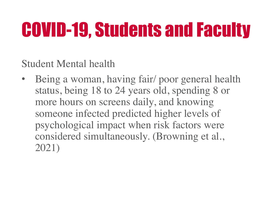Student Mental health

Being a woman, having fair/ poor general health status, being 18 to 24 years old, spending 8 or more hours on screens daily, and knowing someone infected predicted higher levels of psychological impact when risk factors were considered simultaneously. (Browning et al., 2021)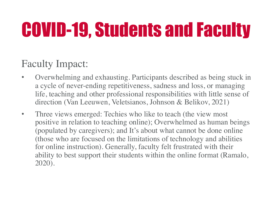#### Faculty Impact:

- Overwhelming and exhausting. Participants described as being stuck in a cycle of never-ending repetitiveness, sadness and loss, or managing life, teaching and other professional responsibilities with little sense of direction (Van Leeuwen, Veletsianos, Johnson & Belikov, 2021)
- Three views emerged: Techies who like to teach (the view most positive in relation to teaching online); Overwhelmed as human beings (populated by caregivers); and It's about what cannot be done online (those who are focused on the limitations of technology and abilities for online instruction). Generally, faculty felt frustrated with their ability to best support their students within the online format (Ramalo, 2020).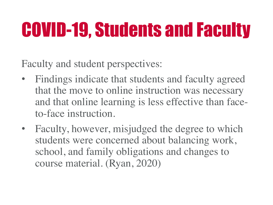Faculty and student perspectives:

- Findings indicate that students and faculty agreed that the move to online instruction was necessary and that online learning is less effective than faceto-face instruction.
- Faculty, however, misjudged the degree to which students were concerned about balancing work, school, and family obligations and changes to course material. (Ryan, 2020)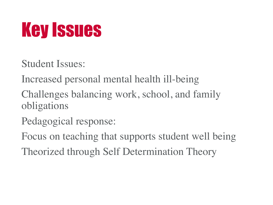### Key Issues

Student Issues:

Increased personal mental health ill-being

Challenges balancing work, school, and family obligations

Pedagogical response:

Focus on teaching that supports student well being

Theorized through Self Determination Theory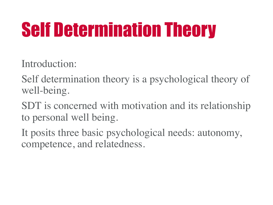Introduction:

Self determination theory is a psychological theory of well-being.

SDT is concerned with motivation and its relationship to personal well being.

It posits three basic psychological needs: autonomy, competence, and relatedness.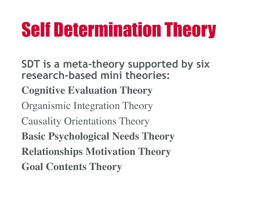**SDT is a meta-theory supported by six research-based mini theories:**

- **Cognitive Evaluation Theory**
- Organismic Integration Theory
- Causality Orientations Theory
- **Basic Psychological Needs Theory**
- **Relationships Motivation Theory**
- **Goal Contents Theory**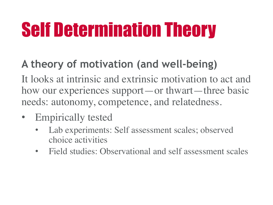### **A theory of motivation (and well-being)**

It looks at intrinsic and extrinsic motivation to act and how our experiences support—or thwart—three basic needs: autonomy, competence, and relatedness.

- Empirically tested
	- Lab experiments: Self assessment scales; observed choice activities
	- Field studies: Observational and self assessment scales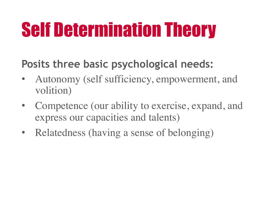#### **Posits three basic psychological needs:**

- Autonomy (self sufficiency, empowerment, and volition)
- Competence (our ability to exercise, expand, and express our capacities and talents)
- Relatedness (having a sense of belonging)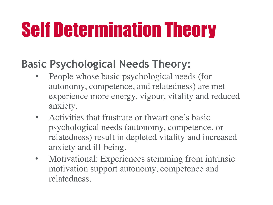#### **Basic Psychological Needs Theory:**

- People whose basic psychological needs (for autonomy, competence, and relatedness) are met experience more energy, vigour, vitality and reduced anxiety.
- Activities that frustrate or thwart one's basic psychological needs (autonomy, competence, or relatedness) result in depleted vitality and increased anxiety and ill-being.
- Motivational: Experiences stemming from intrinsic motivation support autonomy, competence and relatedness.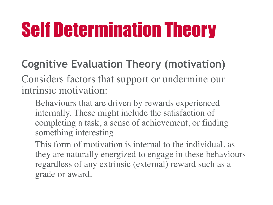### **Cognitive Evaluation Theory (motivation)**

Considers factors that support or undermine our intrinsic motivation:

Behaviours that are driven by rewards experienced internally. These might include the satisfaction of completing a task, a sense of achievement, or finding something interesting.

This form of motivation is internal to the individual, as they are naturally energized to engage in these behaviours regardless of any extrinsic (external) reward such as a grade or award.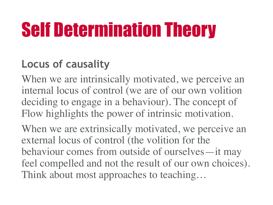### **Locus of causality**

When we are intrinsically motivated, we perceive an internal locus of control (we are of our own volition deciding to engage in a behaviour). The concept of Flow highlights the power of intrinsic motivation. When we are extrinsically motivated, we perceive an external locus of control (the volition for the behaviour comes from outside of ourselves—it may feel compelled and not the result of our own choices). Think about most approaches to teaching…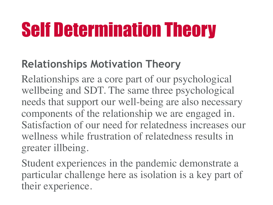#### **Relationships Motivation Theory**

Relationships are a core part of our psychological wellbeing and SDT. The same three psychological needs that support our well-being are also necessary components of the relationship we are engaged in. Satisfaction of our need for relatedness increases our wellness while frustration of relatedness results in greater illbeing.

Student experiences in the pandemic demonstrate a particular challenge here as isolation is a key part of their experience.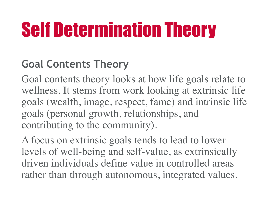### **Goal Contents Theory**

Goal contents theory looks at how life goals relate to wellness. It stems from work looking at extrinsic life goals (wealth, image, respect, fame) and intrinsic life goals (personal growth, relationships, and contributing to the community).

A focus on extrinsic goals tends to lead to lower levels of well-being and self-value, as extrinsically driven individuals define value in controlled areas rather than through autonomous, integrated values.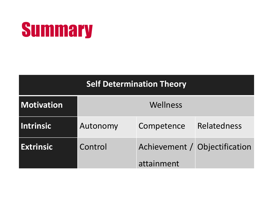### **Summary**

#### **Self Determination Theory**

| Motivation       | Wellness |                                             |             |
|------------------|----------|---------------------------------------------|-------------|
| <b>Intrinsic</b> | Autonomy | Competence                                  | Relatedness |
| <b>Extrinsic</b> | Control  | Achievement / Objectification<br>attainment |             |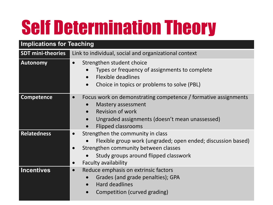| <b>Implications for Teaching</b> |                                                                                                                                                                                                                                                                        |  |  |
|----------------------------------|------------------------------------------------------------------------------------------------------------------------------------------------------------------------------------------------------------------------------------------------------------------------|--|--|
| <b>SDT mini-theories</b>         | Link to individual, social and organizational context                                                                                                                                                                                                                  |  |  |
| <b>Autonomy</b>                  | Strengthen student choice<br>$\bullet$<br>Types or frequency of assignments to complete<br><b>Flexible deadlines</b><br>$\bullet$<br>Choice in topics or problems to solve (PBL)<br>$\bullet$                                                                          |  |  |
| <b>Competence</b>                | Focus work on demonstrating competence / formative assignments<br>$\bullet$<br><b>Mastery assessment</b><br>$\bullet$<br><b>Revision of work</b><br>$\bullet$<br>Ungraded assignments (doesn't mean unassessed)<br>$\bullet$<br><b>Flipped classrooms</b><br>$\bullet$ |  |  |
| <b>Relatedness</b>               | Strengthen the community in class<br>Flexible group work (ungraded; open ended; discussion based)<br>Strengthen community between classes<br>Study groups around flipped classwork<br>$\bullet$<br><b>Faculty availability</b><br>$\bullet$                            |  |  |
| <b>Incentives</b>                | Reduce emphasis on extrinsic factors<br>$\bullet$<br>Grades (and grade penalties); GPA<br>$\bullet$<br>Hard deadlines<br>$\bullet$<br>Competition (curved grading)<br>$\bullet$                                                                                        |  |  |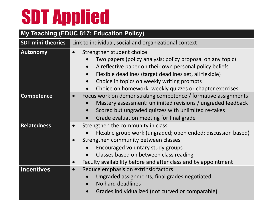# SDT Applied

#### **My Teaching (EDUC 817: Education Policy) SDT mini-theories** Link to individual, social and organizational context **Autonomy** • Strengthen student choice • Two papers (policy analysis; policy proposal on any topic) • A reflective paper on their own personal policy beliefs • Flexible deadlines (target deadlines set, all flexible) • Choice in topics on weekly writing prompts • Choice on homework: weekly quizzes or chapter exercises **Competence •** Focus work on demonstrating competence / formative assignments • Mastery assessment: unlimited revisions / ungraded feedback • Scored but ungraded quizzes with unlimited re-takes

- Grade evaluation meeting for final grade
- **Relatedness •** Strengthen the community in class
	- Flexible group work (ungraded; open ended; discussion based)
	- Strengthen community between classes
		- Encouraged voluntary study groups
		- Classes based on between class reading
	- Faculty availability before and after class and by appointment
- **Incentives •** Reduce emphasis on extrinsic factors
	- Ungraded assignments; final grades negotiated
	- No hard deadlines
	- Grades individualized (not curved or comparable)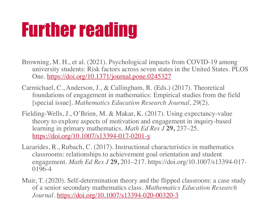### F[urther reading](https://doi.org/10.1007/s13394-017-0201-y)

- Browning, M. H., et al. (2021). Psychological impacts from COVID-19 among university students: Risk factors across seven states in the United States. One. https://doi.org/10.1371/journal.pone.0245327
- Carmichael, C., Anderson, J., & Callingham, R. (Eds.) (2017). Theoretical foundations of engagement in mathematics: Empirical studies from the fi [special issue]. *[Mathematics Education Research Jour](https://doi.org/10.1007/s13394-020-00320-3)nal*, *29*(2).
- Fielding-Wells, J., O'Brien, M. & Makar, K. (2017). Using expectancy-value theory to explore aspects of motivation and engagement in inquiry-based learning in primary mathematics. *Math Ed Res J* **29,** 237–25. https://doi.org/10.1007/s13394-017-0201-y
- Lazarides, R., Rubach, C. (2017). Instructional characteristics in mathematics classrooms: relationships to achievement goal orientation and student engagement. *Math Ed Res J* 29, 201–217. https://doi.org/10.1007/s13394 0196-4
- Muir, T. (2020). Self-determination theory and the flipped classroom: a case of a senior secondary mathematics class. *Mathematics Education Research Journal*. https://doi.org/10.1007/s13394-020-00320-3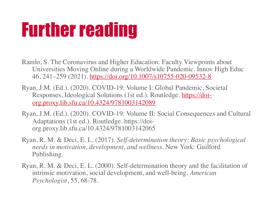### Further reading

- Ramlo, S. The Coronavirus and Higher Education: Faculty Viewpoints about Universities Moving Online during a Worldwide Pandemic. Innov High I 46, 241–259 (2021). https://doi.org/10.1007/s10755-020-09532-8
- Ryan, J.M. (Ed.). (2020). COVID-19: Volume I: Global Pandemic, Societal Responses, Ideological Solutions (1st ed.). Routledge. https://doiorg.proxy.lib.sfu.ca/10.4324/9781003142089
- Ryan, J.M. (Ed.). (2020). COVID-19: Volume II: Social Consequences and C Adaptations (1st ed.). Routledge. https://doiorg.proxy.lib.sfu.ca/10.4324/9781003142065
- Ryan, R. M. & Deci, E. L. (2017). *Self-determination theory: Basic psycholo needs in motivation, development, and wellness*. New York: Guilford Publishing.
- Ryan, R. M. & Deci, E. L.  $(2000)$ . Self-determination theory and the facilitation intrinsic motivation, social development, and well-being. *American Psychologist*, 55, 68-78.